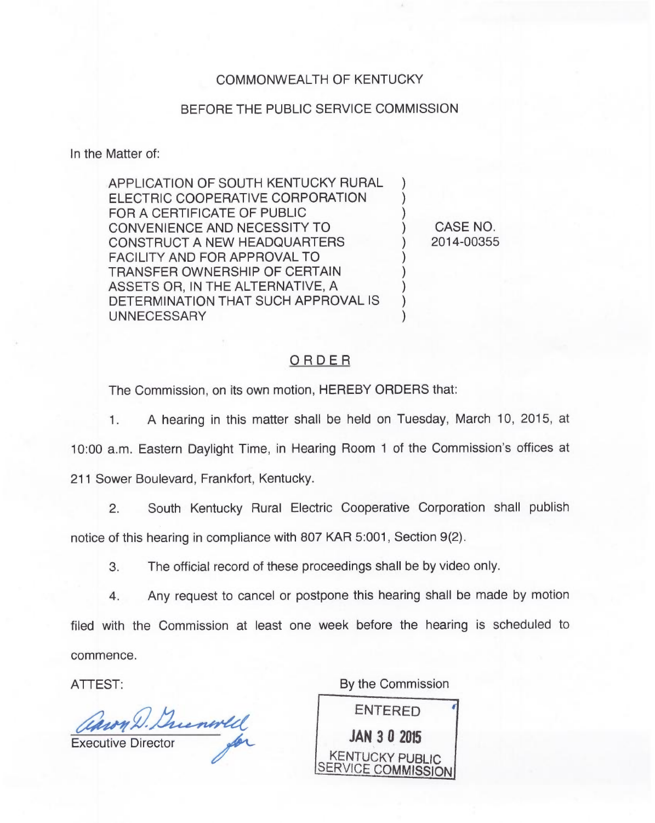## COMMONWEALTH OF KENTUCKY

## BEFORE THE PUBLIC SERVICE COMMISSION

In the Matter of:

APPLICATION OF SOUTH KENTUCKY RURAL ELECTRIC COOPERATIVE CORPORATION FOR A CERTIFICATE OF PUBLIC CONVENIENCE AND NECESSITY TO CONSTRUCT A NEW HEADQUARTERS FACILITY AND FOR APPROVAL TO TRANSFER OWNERSHIP OF CERTAIN ASSETS OR, IN THE ALTERNATIVE, A DETERMINATION THAT SUCH APPROVAL IS UNNECESSARY  $\overline{\ }$  $\overline{\ }$ ) ) ) ) ) )

) CASE NO. ) 2014-00355

## ORDER

The Commission, on its own motion, HEREBY ORDERS that:

- 1. A hearing in this matter shall be held on Tuesday, March 10, 2015, at 10:00 a.m. Eastern Daylight Time, in Hearing Room 1 of the Commission's offices at
- 211 Sower Boulevard, Frankfort, Kentucky.
	- 2. South Kentucky Rural Electric Cooperative Corporation shall publish

notice of this hearing in compliance with 807 KAR 5:001, Section 9(2).

3. The official record of these proceedings shall be by video only.

4. Any request to cancel or postpone this hearing shall be made by motion filed with the Commission at least one week before the hearing is scheduled to commence.

ATTEST:

Caron D. Ducouvell

By the Commission

ENTERED JAN 3 0 2015 KENTUCKY PUBLIC SERVICE COMMISSION